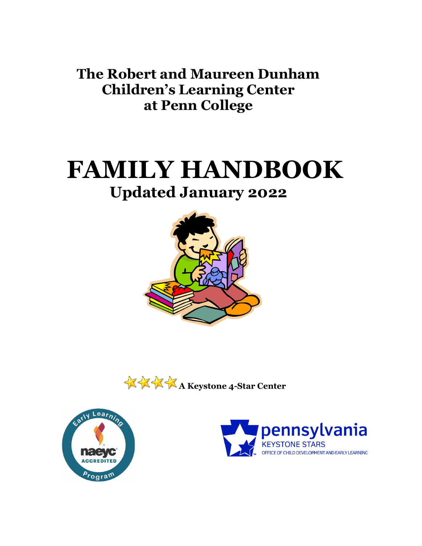**The Robert and Maureen Dunham Children's Learning Center at Penn College**

# **FAMILY HANDBOOK Updated January 2022**







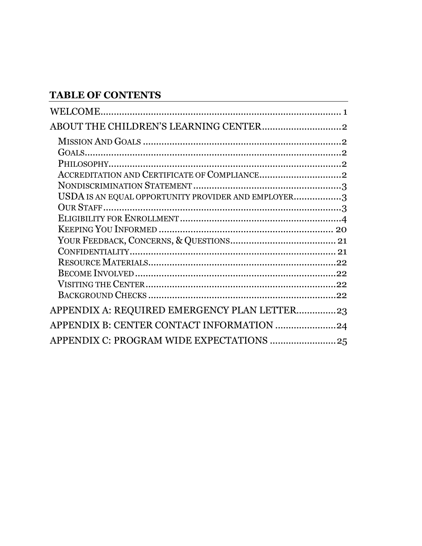# **TABLE OF CONTENTS**

| USDA IS AN EQUAL OPPORTUNITY PROVIDER AND EMPLOYER3 |  |
|-----------------------------------------------------|--|
|                                                     |  |
|                                                     |  |
|                                                     |  |
|                                                     |  |
|                                                     |  |
|                                                     |  |
|                                                     |  |
|                                                     |  |
|                                                     |  |
| APPENDIX A: REQUIRED EMERGENCY PLAN LETTER23        |  |
| APPENDIX B: CENTER CONTACT INFORMATION 24           |  |
| APPENDIX C: PROGRAM WIDE EXPECTATIONS  25           |  |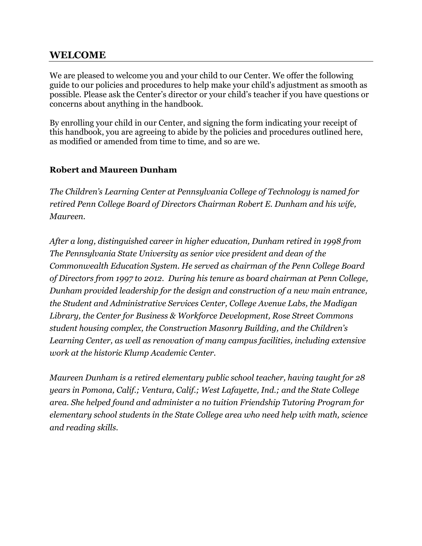# <span id="page-2-0"></span>**WELCOME**

We are pleased to welcome you and your child to our Center. We offer the following guide to our policies and procedures to help make your child's adjustment as smooth as possible. Please ask the Center's director or your child's teacher if you have questions or concerns about anything in the handbook.

By enrolling your child in our Center, and signing the form indicating your receipt of this handbook, you are agreeing to abide by the policies and procedures outlined here, as modified or amended from time to time, and so are we.

# **Robert and Maureen Dunham**

*The Children's Learning Center at Pennsylvania College of Technology is named for retired Penn College Board of Directors Chairman Robert E. Dunham and his wife, Maureen.*

*After a long, distinguished career in higher education, Dunham retired in 1998 from The Pennsylvania State University as senior vice president and dean of the Commonwealth Education System. He served as chairman of the Penn College Board of Directors from 1997 to 2012. During his tenure as board chairman at Penn College, Dunham provided leadership for the design and construction of a new main entrance, the Student and Administrative Services Center, College Avenue Labs, the Madigan Library, the Center for Business & Workforce Development, Rose Street Commons student housing complex, the Construction Masonry Building, and the Children's Learning Center, as well as renovation of many campus facilities, including extensive work at the historic Klump Academic Center.*

*Maureen Dunham is a retired elementary public school teacher, having taught for 28 years in Pomona, Calif.; Ventura, Calif.; West Lafayette, Ind.; and the State College area. She helped found and administer a no tuition Friendship Tutoring Program for elementary school students in the State College area who need help with math, science and reading skills.*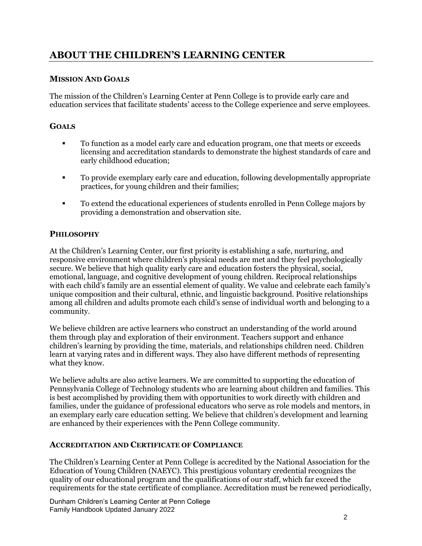# <span id="page-3-1"></span><span id="page-3-0"></span>**ABOUT THE CHILDREN'S LEARNING CENTER**

# **MISSION AND GOALS**

The mission of the Children's Learning Center at Penn College is to provide early care and education services that facilitate students' access to the College experience and serve employees.

# <span id="page-3-2"></span>**GOALS**

- To function as a model early care and education program, one that meets or exceeds licensing and accreditation standards to demonstrate the highest standards of care and early childhood education;
- To provide exemplary early care and education, following developmentally appropriate practices, for young children and their families;
- To extend the educational experiences of students enrolled in Penn College majors by providing a demonstration and observation site.

# <span id="page-3-3"></span>**PHILOSOPHY**

At the Children's Learning Center, our first priority is establishing a safe, nurturing, and responsive environment where children's physical needs are met and they feel psychologically secure. We believe that high quality early care and education fosters the physical, social, emotional, language, and cognitive development of young children. Reciprocal relationships with each child's family are an essential element of quality. We value and celebrate each family's unique composition and their cultural, ethnic, and linguistic background. Positive relationships among all children and adults promote each child's sense of individual worth and belonging to a community.

We believe children are active learners who construct an understanding of the world around them through play and exploration of their environment. Teachers support and enhance children's learning by providing the time, materials, and relationships children need. Children learn at varying rates and in different ways. They also have different methods of representing what they know.

We believe adults are also active learners. We are committed to supporting the education of Pennsylvania College of Technology students who are learning about children and families. This is best accomplished by providing them with opportunities to work directly with children and families, under the guidance of professional educators who serve as role models and mentors, in an exemplary early care education setting. We believe that children's development and learning are enhanced by their experiences with the Penn College community.

# <span id="page-3-4"></span>**ACCREDITATION AND CERTIFICATE OF COMPLIANCE**

The Children's Learning Center at Penn College is accredited by the National Association for the Education of Young Children (NAEYC). This prestigious voluntary credential recognizes the quality of our educational program and the qualifications of our staff, which far exceed the requirements for the state certificate of compliance. Accreditation must be renewed periodically,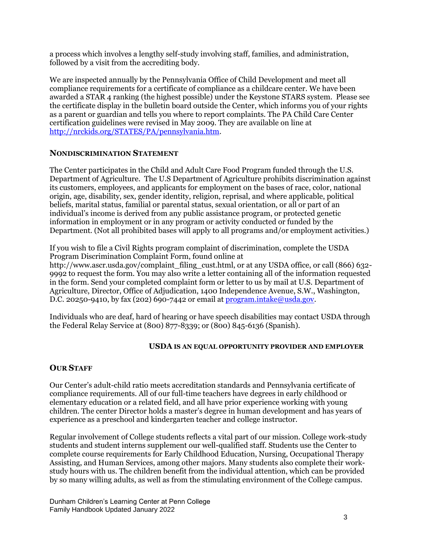a process which involves a lengthy self-study involving staff, families, and administration, followed by a visit from the accrediting body.

We are inspected annually by the Pennsylvania Office of Child Development and meet all compliance requirements for a certificate of compliance as a childcare center. We have been awarded a STAR 4 ranking (the highest possible) under the Keystone STARS system. Please see the certificate display in the bulletin board outside the Center, which informs you of your rights as a parent or guardian and tells you where to report complaints. The PA Child Care Center certification guidelines were revised in May 2009. They are available on line at [http://nrckids.org/STATES/PA/pennsylvania.htm.](http://nrckids.org/STATES/PA/pennsylvania.htm)

#### <span id="page-4-0"></span>**NONDISCRIMINATION STATEMENT**

The Center participates in the Child and Adult Care Food Program funded through the U.S. Department of Agriculture. The U.S Department of Agriculture prohibits discrimination against its customers, employees, and applicants for employment on the bases of race, color, national origin, age, disability, sex, gender identity, religion, reprisal, and where applicable, political beliefs, marital status, familial or parental status, sexual orientation, or all or part of an individual's income is derived from any public assistance program, or protected genetic information in employment or in any program or activity conducted or funded by the Department. (Not all prohibited bases will apply to all programs and/or employment activities.)

If you wish to file a Civil Rights program complaint of discrimination, complete the USDA Program Discrimination Complaint Form, found online at http://www.ascr.usda.gov/complaint\_filing\_cust.html, or at any USDA office, or call (866) 632-9992 to request the form. You may also write a letter containing all of the information requested in the form. Send your completed complaint form or letter to us by mail at U.S. Department of Agriculture, Director, Office of Adjudication, 1400 Independence Avenue, S.W., Washington, D.C. 20250-9410, by fax (202) 690-7442 or email at  $\frac{1}{2}$  [program.intake@usda.gov.](mailto:program.intake@usda.gov)

<span id="page-4-1"></span>Individuals who are deaf, hard of hearing or have speech disabilities may contact USDA through the Federal Relay Service at (800) 877-8339; or (800) 845-6136 (Spanish).

#### **USDA IS AN EQUAL OPPORTUNITY PROVIDER AND EMPLOYER**

#### <span id="page-4-2"></span>**OUR STAFF**

Our Center's adult-child ratio meets accreditation standards and Pennsylvania certificate of compliance requirements. All of our full-time teachers have degrees in early childhood or elementary education or a related field, and all have prior experience working with young children. The center Director holds a master's degree in human development and has years of experience as a preschool and kindergarten teacher and college instructor.

Regular involvement of College students reflects a vital part of our mission. College work-study students and student interns supplement our well-qualified staff. Students use the Center to complete course requirements for Early Childhood Education, Nursing, Occupational Therapy Assisting, and Human Services, among other majors. Many students also complete their workstudy hours with us. The children benefit from the individual attention, which can be provided by so many willing adults, as well as from the stimulating environment of the College campus.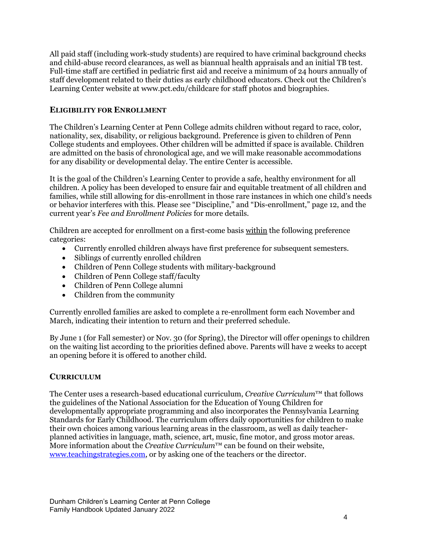All paid staff (including work-study students) are required to have criminal background checks and child-abuse record clearances, as well as biannual health appraisals and an initial TB test. Full-time staff are certified in pediatric first aid and receive a minimum of 24 hours annually of staff development related to their duties as early childhood educators. Check out the Children's Learning Center website at www.pct.edu/childcare for staff photos and biographies.

# <span id="page-5-0"></span>**ELIGIBILITY FOR ENROLLMENT**

The Children's Learning Center at Penn College admits children without regard to race, color, nationality, sex, disability, or religious background. Preference is given to children of Penn College students and employees. Other children will be admitted if space is available. Children are admitted on the basis of chronological age, and we will make reasonable accommodations for any disability or developmental delay. The entire Center is accessible.

It is the goal of the Children's Learning Center to provide a safe, healthy environment for all children. A policy has been developed to ensure fair and equitable treatment of all children and families, while still allowing for dis-enrollment in those rare instances in which one child's needs or behavior interferes with this. Please see "Discipline," and "Dis-enrollment," page 12, and the current year's *Fee and Enrollment Policies* for more details.

Children are accepted for enrollment on a first-come basis within the following preference categories:

- Currently enrolled children always have first preference for subsequent semesters.
- Siblings of currently enrolled children
- Children of Penn College students with military-background
- Children of Penn College staff/faculty
- Children of Penn College alumni
- Children from the community

Currently enrolled families are asked to complete a re-enrollment form each November and March, indicating their intention to return and their preferred schedule.

By June 1 (for Fall semester) or Nov. 30 (for Spring), the Director will offer openings to children on the waiting list according to the priorities defined above. Parents will have 2 weeks to accept an opening before it is offered to another child.

# **CURRICULUM**

The Center uses a research-based educational curriculum, *Creative Curriculum*™ that follows the guidelines of the National Association for the Education of Young Children for developmentally appropriate programming and also incorporates the Pennsylvania Learning Standards for Early Childhood. The curriculum offers daily opportunities for children to make their own choices among various learning areas in the classroom, as well as daily teacherplanned activities in language, math, science, art, music, fine motor, and gross motor areas. More information about the *Creative Curriculum*™ can be found on their website, [www.teachingstrategies.com,](http://www.teachingstrategies.com/) or by asking one of the teachers or the director.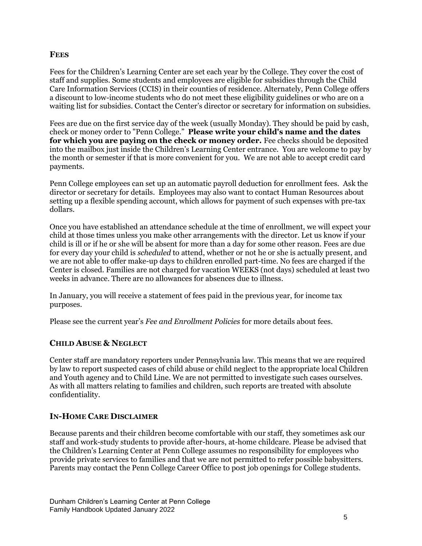#### **FEES**

Fees for the Children's Learning Center are set each year by the College. They cover the cost of staff and supplies. Some students and employees are eligible for subsidies through the Child Care Information Services (CCIS) in their counties of residence. Alternately, Penn College offers a discount to low-income students who do not meet these eligibility guidelines or who are on a waiting list for subsidies. Contact the Center's director or secretary for information on subsidies.

Fees are due on the first service day of the week (usually Monday). They should be paid by cash, check or money order to "Penn College." **Please write your child's name and the dates for which you are paying on the check or money order.** Fee checks should be deposited into the mailbox just inside the Children's Learning Center entrance. You are welcome to pay by the month or semester if that is more convenient for you. We are not able to accept credit card payments.

Penn College employees can set up an automatic payroll deduction for enrollment fees. Ask the director or secretary for details. Employees may also want to contact Human Resources about setting up a flexible spending account, which allows for payment of such expenses with pre-tax dollars.

Once you have established an attendance schedule at the time of enrollment, we will expect your child at those times unless you make other arrangements with the director. Let us know if your child is ill or if he or she will be absent for more than a day for some other reason. Fees are due for every day your child is *scheduled* to attend, whether or not he or she is actually present, and we are not able to offer make-up days to children enrolled part-time. No fees are charged if the Center is closed. Families are not charged for vacation WEEKS (not days) scheduled at least two weeks in advance. There are no allowances for absences due to illness.

In January, you will receive a statement of fees paid in the previous year, for income tax purposes.

Please see the current year's *Fee and Enrollment Policies* for more details about fees.

#### **CHILD ABUSE & NEGLECT**

Center staff are mandatory reporters under Pennsylvania law. This means that we are required by law to report suspected cases of child abuse or child neglect to the appropriate local Children and Youth agency and to Child Line. We are not permitted to investigate such cases ourselves. As with all matters relating to families and children, such reports are treated with absolute confidentiality.

# **IN-HOME CARE DISCLAIMER**

Because parents and their children become comfortable with our staff, they sometimes ask our staff and work-study students to provide after-hours, at-home childcare. Please be advised that the Children's Learning Center at Penn College assumes no responsibility for employees who provide private services to families and that we are not permitted to refer possible babysitters. Parents may contact the Penn College Career Office to post job openings for College students.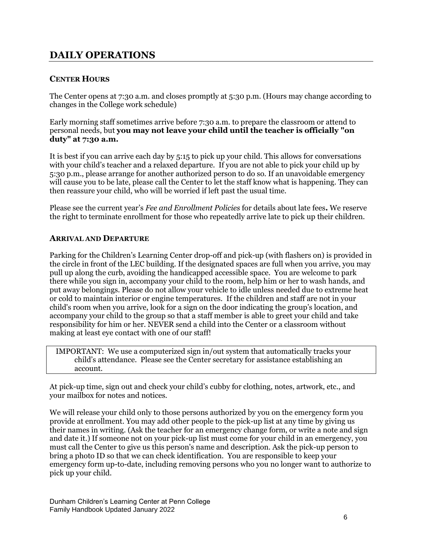# **DAILY OPERATIONS**

# **CENTER HOURS**

The Center opens at 7:30 a.m. and closes promptly at 5:30 p.m. (Hours may change according to changes in the College work schedule)

Early morning staff sometimes arrive before 7:30 a.m. to prepare the classroom or attend to personal needs, but **you may not leave your child until the teacher is officially "on duty" at 7:30 a.m.**

It is best if you can arrive each day by 5:15 to pick up your child. This allows for conversations with your child's teacher and a relaxed departure. If you are not able to pick your child up by 5:30 p.m., please arrange for another authorized person to do so. If an unavoidable emergency will cause you to be late, please call the Center to let the staff know what is happening. They can then reassure your child, who will be worried if left past the usual time.

Please see the current year's *Fee and Enrollment Policies* for details about late fees**.** We reserve the right to terminate enrollment for those who repeatedly arrive late to pick up their children.

#### **ARRIVAL AND DEPARTURE**

Parking for the Children's Learning Center drop-off and pick-up (with flashers on) is provided in the circle in front of the LEC building. If the designated spaces are full when you arrive, you may pull up along the curb, avoiding the handicapped accessible space. You are welcome to park there while you sign in, accompany your child to the room, help him or her to wash hands, and put away belongings. Please do not allow your vehicle to idle unless needed due to extreme heat or cold to maintain interior or engine temperatures. If the children and staff are not in your child's room when you arrive, look for a sign on the door indicating the group's location, and accompany your child to the group so that a staff member is able to greet your child and take responsibility for him or her. NEVER send a child into the Center or a classroom without making at least eye contact with one of our staff!

IMPORTANT: We use a computerized sign in/out system that automatically tracks your child's attendance. Please see the Center secretary for assistance establishing an account.

At pick-up time, sign out and check your child's cubby for clothing, notes, artwork, etc., and your mailbox for notes and notices.

We will release your child only to those persons authorized by you on the emergency form you provide at enrollment. You may add other people to the pick-up list at any time by giving us their names in writing. (Ask the teacher for an emergency change form, or write a note and sign and date it.) If someone not on your pick-up list must come for your child in an emergency, you must call the Center to give us this person's name and description. Ask the pick-up person to bring a photo ID so that we can check identification. You are responsible to keep your emergency form up-to-date, including removing persons who you no longer want to authorize to pick up your child.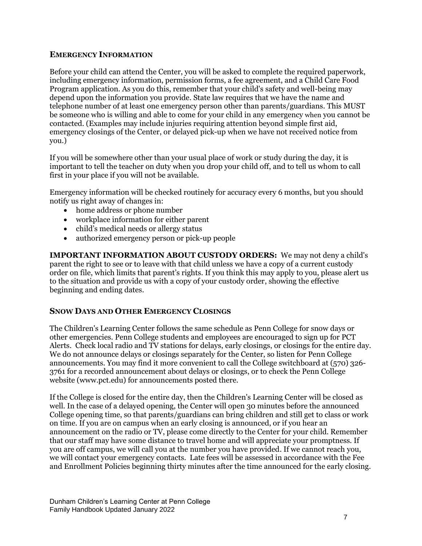#### **EMERGENCY INFORMATION**

Before your child can attend the Center, you will be asked to complete the required paperwork, including emergency information, permission forms, a fee agreement, and a Child Care Food Program application. As you do this, remember that your child's safety and well-being may depend upon the information you provide. State law requires that we have the name and telephone number of at least one emergency person other than parents/guardians. This MUST be someone who is willing and able to come for your child in any emergency when you cannot be contacted. (Examples may include injuries requiring attention beyond simple first aid, emergency closings of the Center, or delayed pick-up when we have not received notice from you.)

If you will be somewhere other than your usual place of work or study during the day, it is important to tell the teacher on duty when you drop your child off, and to tell us whom to call first in your place if you will not be available.

Emergency information will be checked routinely for accuracy every 6 months, but you should notify us right away of changes in:

- home address or phone number
- workplace information for either parent
- child's medical needs or allergy status
- authorized emergency person or pick-up people

**IMPORTANT INFORMATION ABOUT CUSTODY ORDERS:** We may not deny a child's parent the right to see or to leave with that child unless we have a copy of a current custody order on file, which limits that parent's rights. If you think this may apply to you, please alert us to the situation and provide us with a copy of your custody order, showing the effective beginning and ending dates.

# **SNOW DAYS AND OTHER EMERGENCY CLOSINGS**

The Children's Learning Center follows the same schedule as Penn College for snow days or other emergencies. Penn College students and employees are encouraged to sign up for PCT Alerts. Check local radio and TV stations for delays, early closings, or closings for the entire day. We do not announce delays or closings separately for the Center, so listen for Penn College announcements. You may find it more convenient to call the College switchboard at (570) 326- 3761 for a recorded announcement about delays or closings, or to check the Penn College website (www.pct.edu) for announcements posted there.

If the College is closed for the entire day, then the Children's Learning Center will be closed as well. In the case of a delayed opening, the Center will open 30 minutes before the announced College opening time, so that parents/guardians can bring children and still get to class or work on time. If you are on campus when an early closing is announced, or if you hear an announcement on the radio or TV, please come directly to the Center for your child. Remember that our staff may have some distance to travel home and will appreciate your promptness. If you are off campus, we will call you at the number you have provided. If we cannot reach you, we will contact your emergency contacts. Late fees will be assessed in accordance with the Fee and Enrollment Policies beginning thirty minutes after the time announced for the early closing.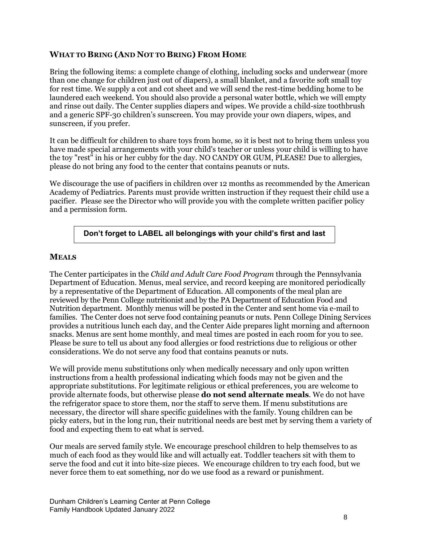# **WHAT TO BRING (AND NOT TO BRING) FROM HOME**

Bring the following items: a complete change of clothing, including socks and underwear (more than one change for children just out of diapers), a small blanket, and a favorite soft small toy for rest time. We supply a cot and cot sheet and we will send the rest-time bedding home to be laundered each weekend. You should also provide a personal water bottle, which we will empty and rinse out daily. The Center supplies diapers and wipes. We provide a child-size toothbrush and a generic SPF-30 children's sunscreen. You may provide your own diapers, wipes, and sunscreen, if you prefer.

It can be difficult for children to share toys from home, so it is best not to bring them unless you have made special arrangements with your child's teacher or unless your child is willing to have the toy "rest" in his or her cubby for the day. NO CANDY OR GUM, PLEASE! Due to allergies, please do not bring any food to the center that contains peanuts or nuts.

We discourage the use of pacifiers in children over 12 months as recommended by the American Academy of Pediatrics. Parents must provide written instruction if they request their child use a pacifier. Please see the Director who will provide you with the complete written pacifier policy and a permission form.

#### **Don't forget to LABEL all belongings with your child's first and last name.**

# **MEALS**

The Center participates in the *Child and Adult Care Food Program* through the Pennsylvania Department of Education. Menus, meal service, and record keeping are monitored periodically by a representative of the Department of Education. All components of the meal plan are reviewed by the Penn College nutritionist and by the PA Department of Education Food and Nutrition department. Monthly menus will be posted in the Center and sent home via e-mail to families. The Center does not serve food containing peanuts or nuts. Penn College Dining Services provides a nutritious lunch each day, and the Center Aide prepares light morning and afternoon snacks. Menus are sent home monthly, and meal times are posted in each room for you to see. Please be sure to tell us about any food allergies or food restrictions due to religious or other considerations. We do not serve any food that contains peanuts or nuts.

We will provide menu substitutions only when medically necessary and only upon written instructions from a health professional indicating which foods may not be given and the appropriate substitutions. For legitimate religious or ethical preferences, you are welcome to provide alternate foods, but otherwise please **do not send alternate meals**. We do not have the refrigerator space to store them, nor the staff to serve them. If menu substitutions are necessary, the director will share specific guidelines with the family. Young children can be picky eaters, but in the long run, their nutritional needs are best met by serving them a variety of food and expecting them to eat what is served.

Our meals are served family style. We encourage preschool children to help themselves to as much of each food as they would like and will actually eat. Toddler teachers sit with them to serve the food and cut it into bite-size pieces. We encourage children to try each food, but we never force them to eat something, nor do we use food as a reward or punishment.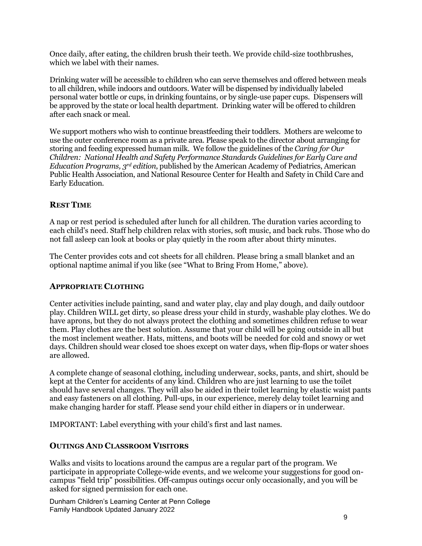Once daily, after eating, the children brush their teeth. We provide child-size toothbrushes, which we label with their names.

Drinking water will be accessible to children who can serve themselves and offered between meals to all children, while indoors and outdoors. Water will be dispensed by individually labeled personal water bottle or cups, in drinking fountains, or by single-use paper cups. Dispensers will be approved by the state or local health department. Drinking water will be offered to children after each snack or meal.

We support mothers who wish to continue breastfeeding their toddlers. Mothers are welcome to use the outer conference room as a private area. Please speak to the director about arranging for storing and feeding expressed human milk. We follow the guidelines of the *Caring for Our Children: National Health and Safety Performance Standards Guidelines for Early Care and Education Programs, 3rd edition*, published by the American Academy of Pediatrics, American Public Health Association, and National Resource Center for Health and Safety in Child Care and Early Education.

# **REST TIME**

A nap or rest period is scheduled after lunch for all children. The duration varies according to each child's need. Staff help children relax with stories, soft music, and back rubs. Those who do not fall asleep can look at books or play quietly in the room after about thirty minutes.

The Center provides cots and cot sheets for all children. Please bring a small blanket and an optional naptime animal if you like (see "What to Bring From Home," above).

# **APPROPRIATE CLOTHING**

Center activities include painting, sand and water play, clay and play dough, and daily outdoor play. Children WILL get dirty, so please dress your child in sturdy, washable play clothes. We do have aprons, but they do not always protect the clothing and sometimes children refuse to wear them. Play clothes are the best solution. Assume that your child will be going outside in all but the most inclement weather. Hats, mittens, and boots will be needed for cold and snowy or wet days. Children should wear closed toe shoes except on water days, when flip-flops or water shoes are allowed.

A complete change of seasonal clothing, including underwear, socks, pants, and shirt, should be kept at the Center for accidents of any kind. Children who are just learning to use the toilet should have several changes. They will also be aided in their toilet learning by elastic waist pants and easy fasteners on all clothing. Pull-ups, in our experience, merely delay toilet learning and make changing harder for staff. Please send your child either in diapers or in underwear.

IMPORTANT: Label everything with your child's first and last names.

#### **OUTINGS AND CLASSROOM VISITORS**

Walks and visits to locations around the campus are a regular part of the program. We participate in appropriate College-wide events, and we welcome your suggestions for good oncampus "field trip" possibilities. Off-campus outings occur only occasionally, and you will be asked for signed permission for each one.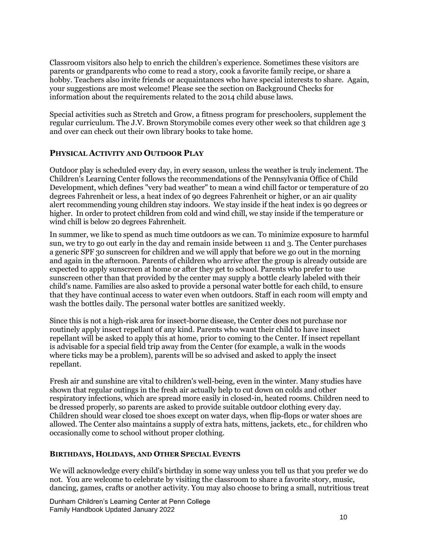Classroom visitors also help to enrich the children's experience. Sometimes these visitors are parents or grandparents who come to read a story, cook a favorite family recipe, or share a hobby. Teachers also invite friends or acquaintances who have special interests to share. Again, your suggestions are most welcome! Please see the section on Background Checks for information about the requirements related to the 2014 child abuse laws.

Special activities such as Stretch and Grow, a fitness program for preschoolers, supplement the regular curriculum. The J.V. Brown Storymobile comes every other week so that children age 3 and over can check out their own library books to take home.

#### **PHYSICAL ACTIVITY AND OUTDOOR PLAY**

Outdoor play is scheduled every day, in every season, unless the weather is truly inclement. The Children's Learning Center follows the recommendations of the Pennsylvania Office of Child Development, which defines "very bad weather" to mean a wind chill factor or temperature of 20 degrees Fahrenheit or less, a heat index of 90 degrees Fahrenheit or higher, or an air quality alert recommending young children stay indoors. We stay inside if the heat index is 90 degrees or higher. In order to protect children from cold and wind chill, we stay inside if the temperature or wind chill is below 20 degrees Fahrenheit.

In summer, we like to spend as much time outdoors as we can. To minimize exposure to harmful sun, we try to go out early in the day and remain inside between 11 and 3. The Center purchases a generic SPF 30 sunscreen for children and we will apply that before we go out in the morning and again in the afternoon. Parents of children who arrive after the group is already outside are expected to apply sunscreen at home or after they get to school. Parents who prefer to use sunscreen other than that provided by the center may supply a bottle clearly labeled with their child's name. Families are also asked to provide a personal water bottle for each child, to ensure that they have continual access to water even when outdoors. Staff in each room will empty and wash the bottles daily. The personal water bottles are sanitized weekly.

Since this is not a high-risk area for insect-borne disease, the Center does not purchase nor routinely apply insect repellant of any kind. Parents who want their child to have insect repellant will be asked to apply this at home, prior to coming to the Center. If insect repellant is advisable for a special field trip away from the Center (for example, a walk in the woods where ticks may be a problem), parents will be so advised and asked to apply the insect repellant.

Fresh air and sunshine are vital to children's well-being, even in the winter. Many studies have shown that regular outings in the fresh air actually help to cut down on colds and other respiratory infections, which are spread more easily in closed-in, heated rooms. Children need to be dressed properly, so parents are asked to provide suitable outdoor clothing every day. Children should wear closed toe shoes except on water days, when flip-flops or water shoes are allowed. The Center also maintains a supply of extra hats, mittens, jackets, etc., for children who occasionally come to school without proper clothing.

#### **BIRTHDAYS, HOLIDAYS, AND OTHER SPECIAL EVENTS**

We will acknowledge every child's birthday in some way unless you tell us that you prefer we do not. You are welcome to celebrate by visiting the classroom to share a favorite story, music, dancing, games, crafts or another activity. You may also choose to bring a small, nutritious treat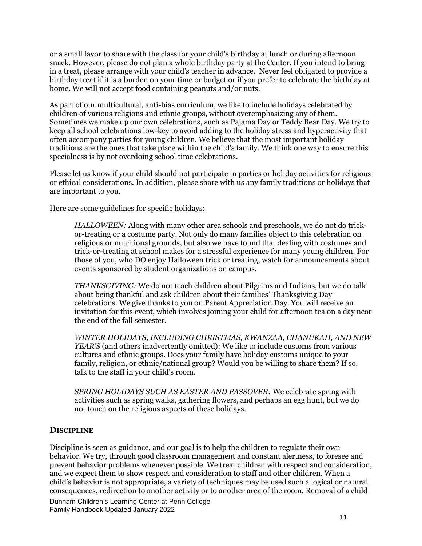or a small favor to share with the class for your child's birthday at lunch or during afternoon snack. However, please do not plan a whole birthday party at the Center. If you intend to bring in a treat, please arrange with your child's teacher in advance. Never feel obligated to provide a birthday treat if it is a burden on your time or budget or if you prefer to celebrate the birthday at home. We will not accept food containing peanuts and/or nuts.

As part of our multicultural, anti-bias curriculum, we like to include holidays celebrated by children of various religions and ethnic groups, without overemphasizing any of them. Sometimes we make up our own celebrations, such as Pajama Day or Teddy Bear Day. We try to keep all school celebrations low-key to avoid adding to the holiday stress and hyperactivity that often accompany parties for young children. We believe that the most important holiday traditions are the ones that take place within the child's family. We think one way to ensure this specialness is by not overdoing school time celebrations.

Please let us know if your child should not participate in parties or holiday activities for religious or ethical considerations. In addition, please share with us any family traditions or holidays that are important to you.

Here are some guidelines for specific holidays:

*HALLOWEEN:* Along with many other area schools and preschools, we do not do trickor-treating or a costume party. Not only do many families object to this celebration on religious or nutritional grounds, but also we have found that dealing with costumes and trick-or-treating at school makes for a stressful experience for many young children. For those of you, who DO enjoy Halloween trick or treating, watch for announcements about events sponsored by student organizations on campus.

*THANKSGIVING:* We do not teach children about Pilgrims and Indians, but we do talk about being thankful and ask children about their families' Thanksgiving Day celebrations. We give thanks to you on Parent Appreciation Day. You will receive an invitation for this event, which involves joining your child for afternoon tea on a day near the end of the fall semester.

*WINTER HOLIDAYS, INCLUDING CHRISTMAS, KWANZAA, CHANUKAH, AND NEW YEAR'S* (and others inadvertently omitted): We like to include customs from various cultures and ethnic groups. Does your family have holiday customs unique to your family, religion, or ethnic/national group? Would you be willing to share them? If so, talk to the staff in your child's room.

*SPRING HOLIDAYS SUCH AS EASTER AND PASSOVER:* We celebrate spring with activities such as spring walks, gathering flowers, and perhaps an egg hunt, but we do not touch on the religious aspects of these holidays.

#### **DISCIPLINE**

Discipline is seen as guidance, and our goal is to help the children to regulate their own behavior. We try, through good classroom management and constant alertness, to foresee and prevent behavior problems whenever possible. We treat children with respect and consideration, and we expect them to show respect and consideration to staff and other children. When a child's behavior is not appropriate, a variety of techniques may be used such a logical or natural consequences, redirection to another activity or to another area of the room. Removal of a child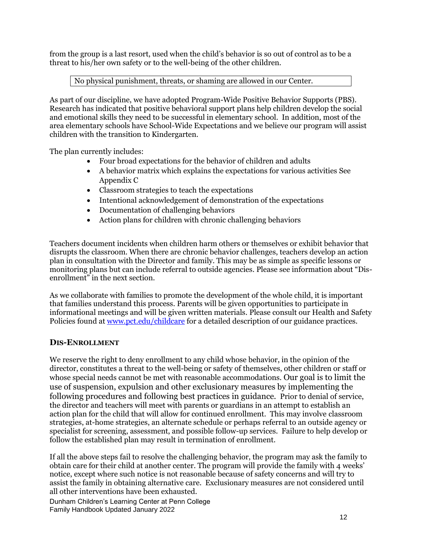from the group is a last resort, used when the child's behavior is so out of control as to be a threat to his/her own safety or to the well-being of the other children.

#### No physical punishment, threats, or shaming are allowed in our Center.

As part of our discipline, we have adopted Program-Wide Positive Behavior Supports (PBS). Research has indicated that positive behavioral support plans help children develop the social and emotional skills they need to be successful in elementary school. In addition, most of the area elementary schools have School-Wide Expectations and we believe our program will assist children with the transition to Kindergarten.

The plan currently includes:

- Four broad expectations for the behavior of children and adults
- A behavior matrix which explains the expectations for various activities See Appendix C
- Classroom strategies to teach the expectations
- Intentional acknowledgement of demonstration of the expectations
- Documentation of challenging behaviors
- Action plans for children with chronic challenging behaviors

Teachers document incidents when children harm others or themselves or exhibit behavior that disrupts the classroom. When there are chronic behavior challenges, teachers develop an action plan in consultation with the Director and family. This may be as simple as specific lessons or monitoring plans but can include referral to outside agencies. Please see information about "Disenrollment" in the next section.

As we collaborate with families to promote the development of the whole child, it is important that families understand this process. Parents will be given opportunities to participate in informational meetings and will be given written materials. Please consult our Health and Safety Policies found at [www.pct.edu/childcare](http://www.pct.edu/childcare) for a detailed description of our guidance practices.

#### **DIS-ENROLLMENT**

We reserve the right to deny enrollment to any child whose behavior, in the opinion of the director, constitutes a threat to the well-being or safety of themselves, other children or staff or whose special needs cannot be met with reasonable accommodations. Our goal is to limit the use of suspension, expulsion and other exclusionary measures by implementing the following procedures and following best practices in guidance. Prior to denial of service, the director and teachers will meet with parents or guardians in an attempt to establish an action plan for the child that will allow for continued enrollment. This may involve classroom strategies, at-home strategies, an alternate schedule or perhaps referral to an outside agency or specialist for screening, assessment, and possible follow-up services. Failure to help develop or follow the established plan may result in termination of enrollment.

If all the above steps fail to resolve the challenging behavior, the program may ask the family to obtain care for their child at another center. The program will provide the family with 4 weeks' notice, except where such notice is not reasonable because of safety concerns and will try to assist the family in obtaining alternative care. Exclusionary measures are not considered until all other interventions have been exhausted.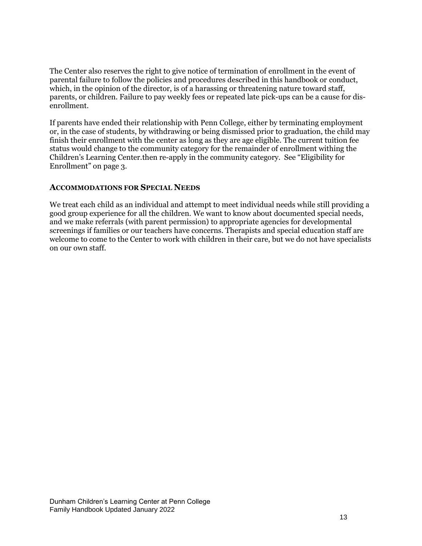The Center also reserves the right to give notice of termination of enrollment in the event of parental failure to follow the policies and procedures described in this handbook or conduct, which, in the opinion of the director, is of a harassing or threatening nature toward staff, parents, or children. Failure to pay weekly fees or repeated late pick-ups can be a cause for disenrollment.

If parents have ended their relationship with Penn College, either by terminating employment or, in the case of students, by withdrawing or being dismissed prior to graduation, the child may finish their enrollment with the center as long as they are age eligible. The current tuition fee status would change to the community category for the remainder of enrollment withing the Children's Learning Center.then re-apply in the community category. See "Eligibility for Enrollment" on page 3.

#### **ACCOMMODATIONS FOR SPECIAL NEEDS**

We treat each child as an individual and attempt to meet individual needs while still providing a good group experience for all the children. We want to know about documented special needs, and we make referrals (with parent permission) to appropriate agencies for developmental screenings if families or our teachers have concerns. Therapists and special education staff are welcome to come to the Center to work with children in their care, but we do not have specialists on our own staff.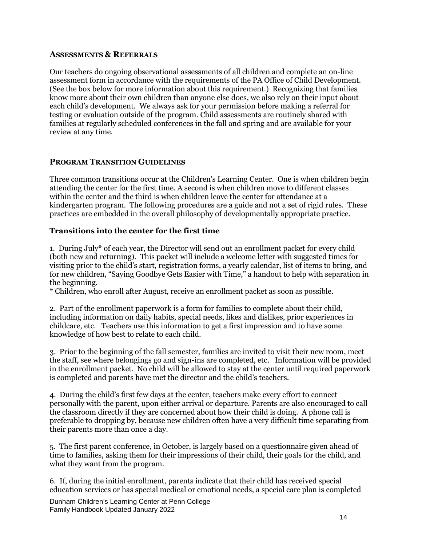#### **ASSESSMENTS & REFERRALS**

Our teachers do ongoing observational assessments of all children and complete an on-line assessment form in accordance with the requirements of the PA Office of Child Development. (See the box below for more information about this requirement.) Recognizing that families know more about their own children than anyone else does, we also rely on their input about each child's development. We always ask for your permission before making a referral for testing or evaluation outside of the program. Child assessments are routinely shared with families at regularly scheduled conferences in the fall and spring and are available for your review at any time.

#### **PROGRAM TRANSITION GUIDELINES**

Three common transitions occur at the Children's Learning Center. One is when children begin attending the center for the first time. A second is when children move to different classes within the center and the third is when children leave the center for attendance at a kindergarten program. The following procedures are a guide and not a set of rigid rules. These practices are embedded in the overall philosophy of developmentally appropriate practice.

#### **Transitions into the center for the first time**

1. During July\* of each year, the Director will send out an enrollment packet for every child (both new and returning). This packet will include a welcome letter with suggested times for visiting prior to the child's start, registration forms, a yearly calendar, list of items to bring, and for new children, "Saying Goodbye Gets Easier with Time," a handout to help with separation in the beginning.

\* Children, who enroll after August, receive an enrollment packet as soon as possible.

2. Part of the enrollment paperwork is a form for families to complete about their child, including information on daily habits, special needs, likes and dislikes, prior experiences in childcare, etc. Teachers use this information to get a first impression and to have some knowledge of how best to relate to each child.

3. Prior to the beginning of the fall semester, families are invited to visit their new room, meet the staff, see where belongings go and sign-ins are completed, etc. Information will be provided in the enrollment packet. No child will be allowed to stay at the center until required paperwork is completed and parents have met the director and the child's teachers.

4. During the child's first few days at the center, teachers make every effort to connect personally with the parent, upon either arrival or departure. Parents are also encouraged to call the classroom directly if they are concerned about how their child is doing. A phone call is preferable to dropping by, because new children often have a very difficult time separating from their parents more than once a day.

5. The first parent conference, in October, is largely based on a questionnaire given ahead of time to families, asking them for their impressions of their child, their goals for the child, and what they want from the program.

6. If, during the initial enrollment, parents indicate that their child has received special education services or has special medical or emotional needs, a special care plan is completed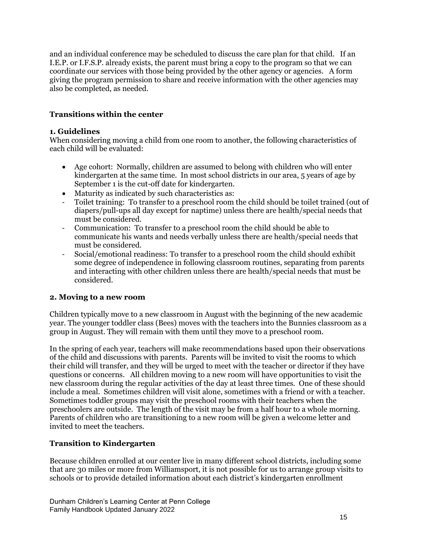and an individual conference may be scheduled to discuss the care plan for that child. If an I.E.P. or I.F.S.P. already exists, the parent must bring a copy to the program so that we can coordinate our services with those being provided by the other agency or agencies. A form giving the program permission to share and receive information with the other agencies may also be completed, as needed.

# **Transitions within the center**

#### **1. Guidelines**

When considering moving a child from one room to another, the following characteristics of each child will be evaluated:

- Age cohort: Normally, children are assumed to belong with children who will enter kindergarten at the same time. In most school districts in our area, 5 years of age by September 1 is the cut-off date for kindergarten.
- Maturity as indicated by such characteristics as:
- Toilet training: To transfer to a preschool room the child should be toilet trained (out of diapers/pull-ups all day except for naptime) unless there are health/special needs that must be considered.
- Communication: To transfer to a preschool room the child should be able to communicate his wants and needs verbally unless there are health/special needs that must be considered.
- Social/emotional readiness: To transfer to a preschool room the child should exhibit some degree of independence in following classroom routines, separating from parents and interacting with other children unless there are health/special needs that must be considered.

# **2. Moving to a new room**

Children typically move to a new classroom in August with the beginning of the new academic year. The younger toddler class (Bees) moves with the teachers into the Bunnies classroom as a group in August. They will remain with them until they move to a preschool room.

In the spring of each year, teachers will make recommendations based upon their observations of the child and discussions with parents. Parents will be invited to visit the rooms to which their child will transfer, and they will be urged to meet with the teacher or director if they have questions or concerns. All children moving to a new room will have opportunities to visit the new classroom during the regular activities of the day at least three times. One of these should include a meal. Sometimes children will visit alone, sometimes with a friend or with a teacher. Sometimes toddler groups may visit the preschool rooms with their teachers when the preschoolers are outside. The length of the visit may be from a half hour to a whole morning. Parents of children who are transitioning to a new room will be given a welcome letter and invited to meet the teachers.

# **Transition to Kindergarten**

Because children enrolled at our center live in many different school districts, including some that are 30 miles or more from Williamsport, it is not possible for us to arrange group visits to schools or to provide detailed information about each district's kindergarten enrollment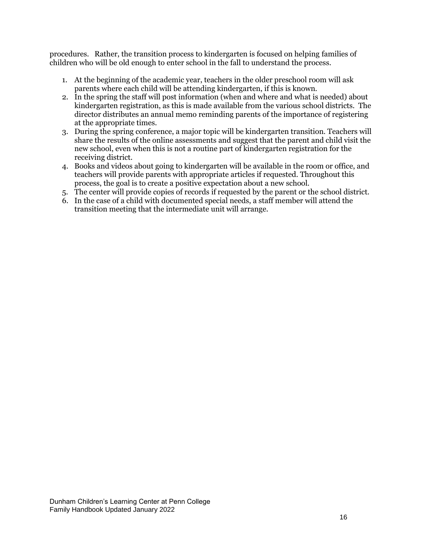procedures. Rather, the transition process to kindergarten is focused on helping families of children who will be old enough to enter school in the fall to understand the process.

- 1. At the beginning of the academic year, teachers in the older preschool room will ask parents where each child will be attending kindergarten, if this is known.
- 2. In the spring the staff will post information (when and where and what is needed) about kindergarten registration, as this is made available from the various school districts. The director distributes an annual memo reminding parents of the importance of registering at the appropriate times.
- 3. During the spring conference, a major topic will be kindergarten transition. Teachers will share the results of the online assessments and suggest that the parent and child visit the new school, even when this is not a routine part of kindergarten registration for the receiving district.
- 4. Books and videos about going to kindergarten will be available in the room or office, and teachers will provide parents with appropriate articles if requested. Throughout this process, the goal is to create a positive expectation about a new school.
- 5. The center will provide copies of records if requested by the parent or the school district.
- 6. In the case of a child with documented special needs, a staff member will attend the transition meeting that the intermediate unit will arrange.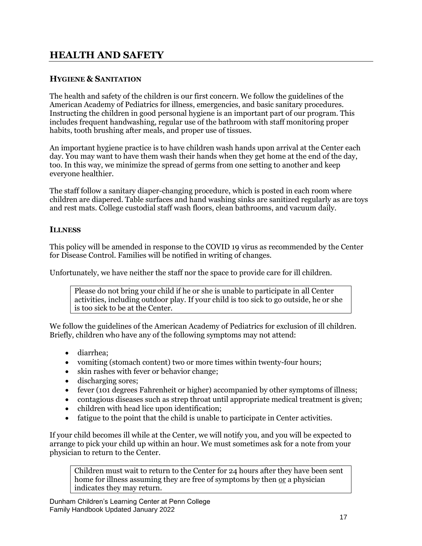# **HEALTH AND SAFETY**

# **HYGIENE & SANITATION**

The health and safety of the children is our first concern. We follow the guidelines of the American Academy of Pediatrics for illness, emergencies, and basic sanitary procedures. Instructing the children in good personal hygiene is an important part of our program. This includes frequent handwashing, regular use of the bathroom with staff monitoring proper habits, tooth brushing after meals, and proper use of tissues.

An important hygiene practice is to have children wash hands upon arrival at the Center each day. You may want to have them wash their hands when they get home at the end of the day, too. In this way, we minimize the spread of germs from one setting to another and keep everyone healthier.

The staff follow a sanitary diaper-changing procedure, which is posted in each room where children are diapered. Table surfaces and hand washing sinks are sanitized regularly as are toys and rest mats. College custodial staff wash floors, clean bathrooms, and vacuum daily.

#### **ILLNESS**

This policy will be amended in response to the COVID 19 virus as recommended by the Center for Disease Control. Families will be notified in writing of changes.

Unfortunately, we have neither the staff nor the space to provide care for ill children.

Please do not bring your child if he or she is unable to participate in all Center activities, including outdoor play. If your child is too sick to go outside, he or she is too sick to be at the Center.

We follow the guidelines of the American Academy of Pediatrics for exclusion of ill children. Briefly, children who have any of the following symptoms may not attend:

- diarrhea:
- vomiting (stomach content) two or more times within twenty-four hours;
- skin rashes with fever or behavior change;
- discharging sores;
- fever (101 degrees Fahrenheit or higher) accompanied by other symptoms of illness;
- contagious diseases such as strep throat until appropriate medical treatment is given;
- children with head lice upon identification;
- fatigue to the point that the child is unable to participate in Center activities.

If your child becomes ill while at the Center, we will notify you, and you will be expected to arrange to pick your child up within an hour. We must sometimes ask for a note from your physician to return to the Center.

Children must wait to return to the Center for 24 hours after they have been sent home for illness assuming they are free of symptoms by then or a physician indicates they may return.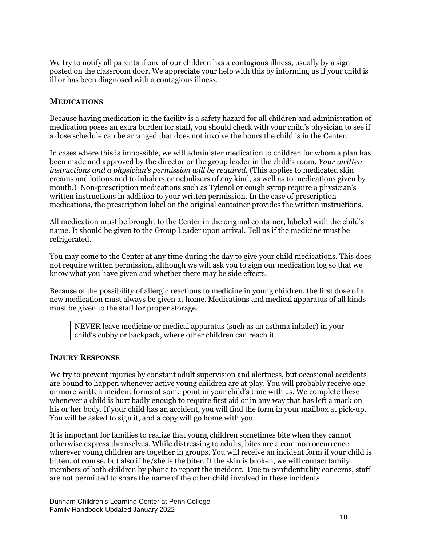We try to notify all parents if one of our children has a contagious illness, usually by a sign posted on the classroom door. We appreciate your help with this by informing us if your child is ill or has been diagnosed with a contagious illness.

#### **MEDICATIONS**

Because having medication in the facility is a safety hazard for all children and administration of medication poses an extra burden for staff, you should check with your child's physician to see if a dose schedule can be arranged that does not involve the hours the child is in the Center.

In cases where this is impossible, we will administer medication to children for whom a plan has been made and approved by the director or the group leader in the child's room. *Your written instructions and a physician's permission will be required.* (This applies to medicated skin creams and lotions and to inhalers or nebulizers of any kind, as well as to medications given by mouth.) Non-prescription medications such as Tylenol or cough syrup require a physician's written instructions in addition to your written permission. In the case of prescription medications, the prescription label on the original container provides the written instructions.

All medication must be brought to the Center in the original container, labeled with the child's name. It should be given to the Group Leader upon arrival. Tell us if the medicine must be refrigerated.

You may come to the Center at any time during the day to give your child medications. This does not require written permission, although we will ask you to sign our medication log so that we know what you have given and whether there may be side effects.

Because of the possibility of allergic reactions to medicine in young children, the first dose of a new medication must always be given at home. Medications and medical apparatus of all kinds must be given to the staff for proper storage.

NEVER leave medicine or medical apparatus (such as an asthma inhaler) in your child's cubby or backpack, where other children can reach it.

#### **INJURY RESPONSE**

We try to prevent injuries by constant adult supervision and alertness, but occasional accidents are bound to happen whenever active young children are at play. You will probably receive one or more written incident forms at some point in your child's time with us. We complete these whenever a child is hurt badly enough to require first aid or in any way that has left a mark on his or her body. If your child has an accident, you will find the form in your mailbox at pick-up. You will be asked to sign it, and a copy will go home with you.

It is important for families to realize that young children sometimes bite when they cannot otherwise express themselves. While distressing to adults, bites are a common occurrence wherever young children are together in groups. You will receive an incident form if your child is bitten, of course, but also if he/she is the biter. If the skin is broken, we will contact family members of both children by phone to report the incident. Due to confidentiality concerns, staff are not permitted to share the name of the other child involved in these incidents.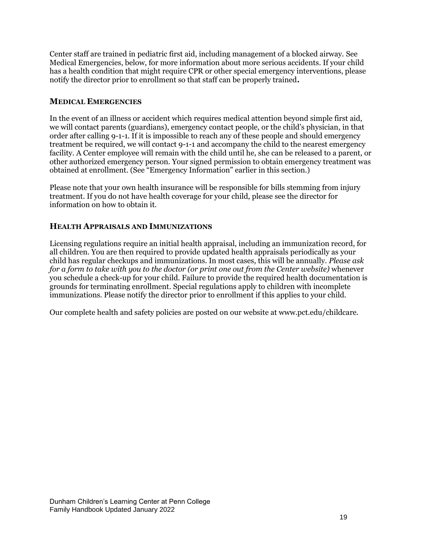Center staff are trained in pediatric first aid, including management of a blocked airway. See Medical Emergencies, below, for more information about more serious accidents. If your child has a health condition that might require CPR or other special emergency interventions, please notify the director prior to enrollment so that staff can be properly trained**.**

# **MEDICAL EMERGENCIES**

In the event of an illness or accident which requires medical attention beyond simple first aid, we will contact parents (guardians), emergency contact people, or the child's physician, in that order after calling 9-1-1. If it is impossible to reach any of these people and should emergency treatment be required, we will contact 9-1-1 and accompany the child to the nearest emergency facility. A Center employee will remain with the child until he, she can be released to a parent, or other authorized emergency person. Your signed permission to obtain emergency treatment was obtained at enrollment. (See "Emergency Information" earlier in this section.)

Please note that your own health insurance will be responsible for bills stemming from injury treatment. If you do not have health coverage for your child, please see the director for information on how to obtain it.

# **HEALTH APPRAISALS AND IMMUNIZATIONS**

Licensing regulations require an initial health appraisal, including an immunization record, for all children. You are then required to provide updated health appraisals periodically as your child has regular checkups and immunizations. In most cases, this will be annually. *Please ask for a form to take with you to the doctor (or print one out from the Center website)* whenever you schedule a check-up for your child. Failure to provide the required health documentation is grounds for terminating enrollment. Special regulations apply to children with incomplete immunizations. Please notify the director prior to enrollment if this applies to your child.

Our complete health and safety policies are posted on our website at www.pct.edu/childcare.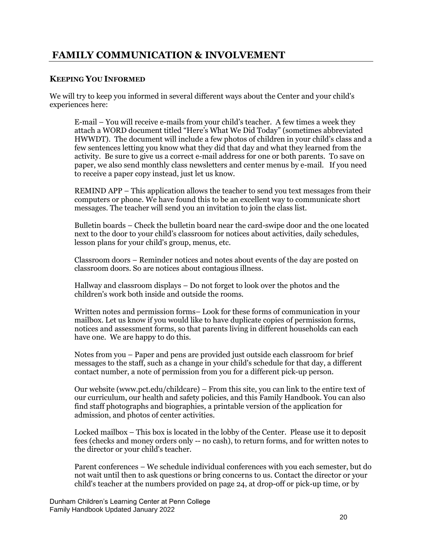# <span id="page-21-0"></span>**FAMILY COMMUNICATION & INVOLVEMENT**

# **KEEPING YOU INFORMED**

We will try to keep you informed in several different ways about the Center and your child's experiences here:

E-mail – You will receive e-mails from your child's teacher. A few times a week they attach a WORD document titled "Here's What We Did Today" (sometimes abbreviated HWWDT). The document will include a few photos of children in your child's class and a few sentences letting you know what they did that day and what they learned from the activity. Be sure to give us a correct e-mail address for one or both parents. To save on paper, we also send monthly class newsletters and center menus by e-mail. If you need to receive a paper copy instead, just let us know.

REMIND APP – This application allows the teacher to send you text messages from their computers or phone. We have found this to be an excellent way to communicate short messages. The teacher will send you an invitation to join the class list.

Bulletin boards – Check the bulletin board near the card-swipe door and the one located next to the door to your child's classroom for notices about activities, daily schedules, lesson plans for your child's group, menus, etc.

Classroom doors – Reminder notices and notes about events of the day are posted on classroom doors. So are notices about contagious illness.

Hallway and classroom displays – Do not forget to look over the photos and the children's work both inside and outside the rooms.

Written notes and permission forms– Look for these forms of communication in your mailbox. Let us know if you would like to have duplicate copies of permission forms, notices and assessment forms, so that parents living in different households can each have one. We are happy to do this.

Notes from you – Paper and pens are provided just outside each classroom for brief messages to the staff, such as a change in your child's schedule for that day, a different contact number, a note of permission from you for a different pick-up person.

Our website (www.pct.edu/childcare) – From this site, you can link to the entire text of our curriculum, our health and safety policies, and this Family Handbook. You can also find staff photographs and biographies, a printable version of the application for admission, and photos of center activities.

Locked mailbox – This box is located in the lobby of the Center. Please use it to deposit fees (checks and money orders only -- no cash), to return forms, and for written notes to the director or your child's teacher.

Parent conferences – We schedule individual conferences with you each semester, but do not wait until then to ask questions or bring concerns to us. Contact the director or your child's teacher at the numbers provided on page 24, at drop-off or pick-up time, or by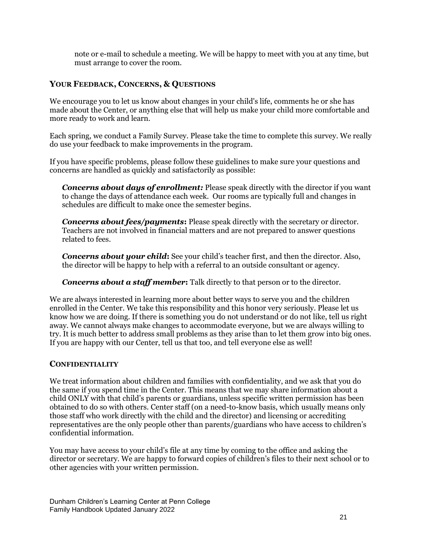note or e-mail to schedule a meeting. We will be happy to meet with you at any time, but must arrange to cover the room.

# <span id="page-22-0"></span>**YOUR FEEDBACK, CONCERNS, & QUESTIONS**

We encourage you to let us know about changes in your child's life, comments he or she has made about the Center, or anything else that will help us make your child more comfortable and more ready to work and learn.

Each spring, we conduct a Family Survey. Please take the time to complete this survey. We really do use your feedback to make improvements in the program.

If you have specific problems, please follow these guidelines to make sure your questions and concerns are handled as quickly and satisfactorily as possible:

*Concerns about days of enrollment:* Please speak directly with the director if you want to change the days of attendance each week. Our rooms are typically full and changes in schedules are difficult to make once the semester begins.

*Concerns about fees/payments***:** Please speak directly with the secretary or director. Teachers are not involved in financial matters and are not prepared to answer questions related to fees.

*Concerns about your child***:** See your child's teacher first, and then the director. Also, the director will be happy to help with a referral to an outside consultant or agency.

*Concerns about a staff member***:** Talk directly to that person or to the director.

We are always interested in learning more about better ways to serve you and the children enrolled in the Center. We take this responsibility and this honor very seriously. Please let us know how we are doing. If there is something you do not understand or do not like, tell us right away. We cannot always make changes to accommodate everyone, but we are always willing to try. It is much better to address small problems as they arise than to let them grow into big ones. If you are happy with our Center, tell us that too, and tell everyone else as well!

# <span id="page-22-1"></span>**CONFIDENTIALITY**

We treat information about children and families with confidentiality, and we ask that you do the same if you spend time in the Center. This means that we may share information about a child ONLY with that child's parents or guardians, unless specific written permission has been obtained to do so with others. Center staff (on a need-to-know basis, which usually means only those staff who work directly with the child and the director) and licensing or accrediting representatives are the only people other than parents/guardians who have access to children's confidential information.

You may have access to your child's file at any time by coming to the office and asking the director or secretary. We are happy to forward copies of children's files to their next school or to other agencies with your written permission.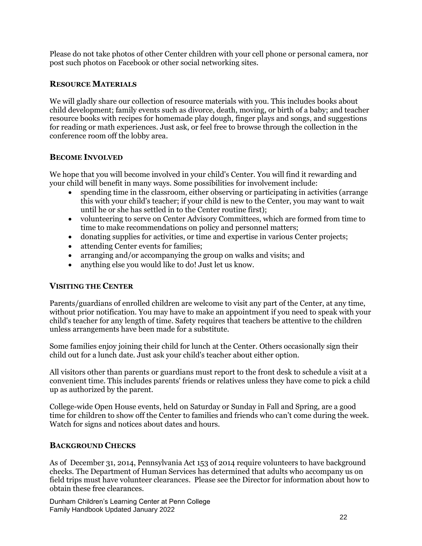Please do not take photos of other Center children with your cell phone or personal camera, nor post such photos on Facebook or other social networking sites.

# <span id="page-23-0"></span>**RESOURCE MATERIALS**

We will gladly share our collection of resource materials with you. This includes books about child development; family events such as divorce, death, moving, or birth of a baby; and teacher resource books with recipes for homemade play dough, finger plays and songs, and suggestions for reading or math experiences. Just ask, or feel free to browse through the collection in the conference room off the lobby area.

# <span id="page-23-1"></span>**BECOME INVOLVED**

We hope that you will become involved in your child's Center. You will find it rewarding and your child will benefit in many ways. Some possibilities for involvement include:

- spending time in the classroom, either observing or participating in activities (arrange) this with your child's teacher; if your child is new to the Center, you may want to wait until he or she has settled in to the Center routine first);
- volunteering to serve on Center Advisory Committees, which are formed from time to time to make recommendations on policy and personnel matters;
- donating supplies for activities, or time and expertise in various Center projects;
- attending Center events for families;
- arranging and/or accompanying the group on walks and visits; and
- anything else you would like to do! Just let us know.

# <span id="page-23-2"></span>**VISITING THE CENTER**

Parents/guardians of enrolled children are welcome to visit any part of the Center, at any time, without prior notification. You may have to make an appointment if you need to speak with your child's teacher for any length of time. Safety requires that teachers be attentive to the children unless arrangements have been made for a substitute.

Some families enjoy joining their child for lunch at the Center. Others occasionally sign their child out for a lunch date. Just ask your child's teacher about either option.

All visitors other than parents or guardians must report to the front desk to schedule a visit at a convenient time. This includes parents' friends or relatives unless they have come to pick a child up as authorized by the parent.

College-wide Open House events, held on Saturday or Sunday in Fall and Spring, are a good time for children to show off the Center to families and friends who can't come during the week. Watch for signs and notices about dates and hours.

# <span id="page-23-3"></span>**BACKGROUND CHECKS**

As of December 31, 2014, Pennsylvania Act 153 of 2014 require volunteers to have background checks. The Department of Human Services has determined that adults who accompany us on field trips must have volunteer clearances. Please see the Director for information about how to obtain these free clearances.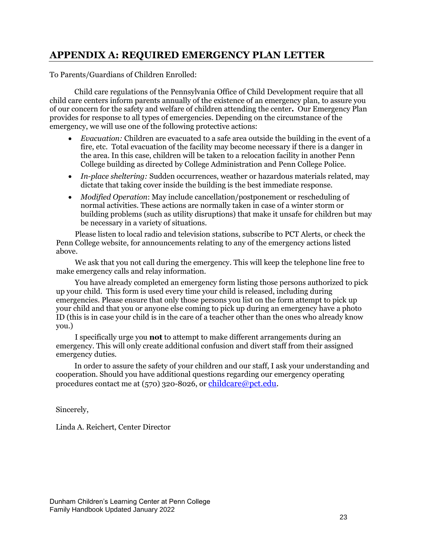# <span id="page-24-0"></span>**APPENDIX A: REQUIRED EMERGENCY PLAN LETTER**

To Parents/Guardians of Children Enrolled:

Child care regulations of the Pennsylvania Office of Child Development require that all child care centers inform parents annually of the existence of an emergency plan, to assure you of our concern for the safety and welfare of children attending the center*.* Our Emergency Plan provides for response to all types of emergencies. Depending on the circumstance of the emergency, we will use one of the following protective actions:

- *Evacuation:* Children are evacuated to a safe area outside the building in the event of a fire, etc. Total evacuation of the facility may become necessary if there is a danger in the area. In this case, children will be taken to a relocation facility in another Penn College building as directed by College Administration and Penn College Police.
- *In-place sheltering:* Sudden occurrences, weather or hazardous materials related, may dictate that taking cover inside the building is the best immediate response.
- *Modified Operation*: May include cancellation/postponement or rescheduling of normal activities. These actions are normally taken in case of a winter storm or building problems (such as utility disruptions) that make it unsafe for children but may be necessary in a variety of situations.

Please listen to local radio and television stations, subscribe to PCT Alerts, or check the Penn College website, for announcements relating to any of the emergency actions listed above.

We ask that you not call during the emergency. This will keep the telephone line free to make emergency calls and relay information.

You have already completed an emergency form listing those persons authorized to pick up your child. This form is used every time your child is released, including during emergencies. Please ensure that only those persons you list on the form attempt to pick up your child and that you or anyone else coming to pick up during an emergency have a photo ID (this is in case your child is in the care of a teacher other than the ones who already know you.)

I specifically urge you **not** to attempt to make different arrangements during an emergency. This will only create additional confusion and divert staff from their assigned emergency duties.

In order to assure the safety of your children and our staff, I ask your understanding and cooperation. Should you have additional questions regarding our emergency operating procedures contact me at (570) 320-8026, or [childcare@pct.edu.](mailto:childcare@pct.edu)

Sincerely,

Linda A. Reichert, Center Director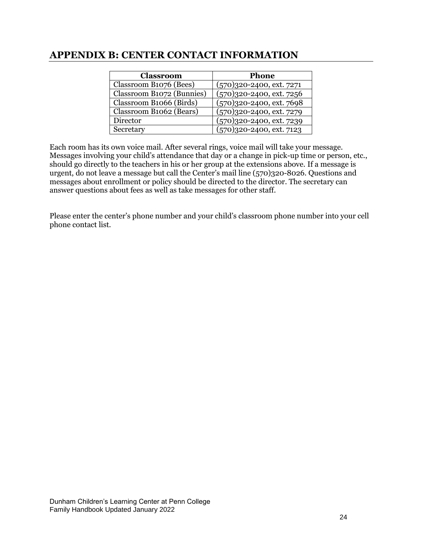# <span id="page-25-0"></span>**APPENDIX B: CENTER CONTACT INFORMATION**

| Classroom                 | <b>Phone</b>                  |  |  |
|---------------------------|-------------------------------|--|--|
| Classroom B1076 (Bees)    | $(570)320 - 2400$ , ext. 7271 |  |  |
| Classroom B1072 (Bunnies) | $(570)320 - 2400$ , ext. 7256 |  |  |
| Classroom B1066 (Birds)   | $(570)320 - 2400$ , ext. 7698 |  |  |
| Classroom B1062 (Bears)   | $(570)320 - 2400$ , ext. 7279 |  |  |
| Director                  | $(570)320 - 2400$ , ext. 7239 |  |  |
| Secretary                 | $(570)320 - 2400$ , ext. 7123 |  |  |

Each room has its own voice mail. After several rings, voice mail will take your message. Messages involving your child's attendance that day or a change in pick-up time or person, etc., should go directly to the teachers in his or her group at the extensions above. If a message is urgent, do not leave a message but call the Center's mail line (570)320-8026. Questions and messages about enrollment or policy should be directed to the director. The secretary can answer questions about fees as well as take messages for other staff.

Please enter the center's phone number and your child's classroom phone number into your cell phone contact list.